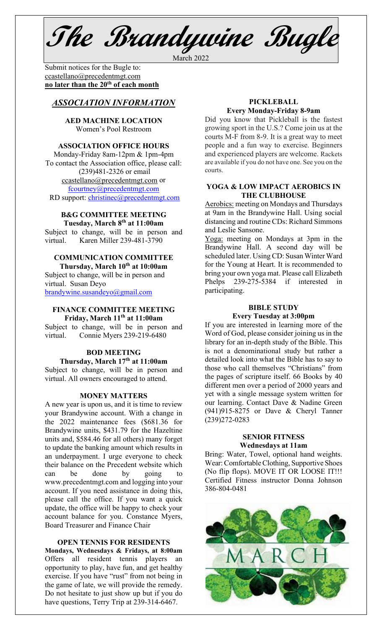**The Brandywine Bugle**

March 2022

Submit notices for the Bugle to:[ccastellano@precedentmgt.com](mailto:johnandbethgrooms@gmail.com) **no later than the 20th of each month**

## *ASSOCIATION INFORMATION*

## **AED MACHINE LOCATION**  Women's Pool Restroom

## **ASSOCIATION OFFICE HOURS**

Monday-Friday 8am-12pm & 1pm-4pm To contact the Association office, please call: (239)481-2326 or email [ccastellano@precedentmgt.com](mailto:ccastellano@precedentmgt.com) or [fcourtney@precedentmgt.com](mailto:fcourtney@precedentmgt.com) RD support: [christinec@precedentmgt.com](mailto:christinec@precedentmgt.com)

#### **B&G COMMITTEE MEETING Tuesday, March 8th at 11:00am**

Subject to change, will be in person and virtual. Karen Miller 239-481-3790

### **COMMUNICATION COMMITTEE**

**Thursday, March 10th at 10:00am** Subject to change, will be in person and virtual. Susan Deyo [brandywine.susandeyo@gmail.com](mailto:brandywine.susandeyo@gmail.com)

### **FINANCE COMMITTEE MEETING Friday, March 11th at 11:00am**

Subject to change, will be in person and virtual. Connie Myers 239-219-6480

## **BOD MEETING Thursday, March 17th at 11:00am**

Subject to change, will be in person and virtual. All owners encouraged to attend.

#### **MONEY MATTERS**

A new year is upon us, and it is time to review your Brandywine account. With a change in the 2022 maintenance fees (\$681.36 for Brandywine units, \$431.79 for the Hazeltine units and, \$584.46 for all others) many forget to update the banking amount which results in an underpayment. I urge everyone to check their balance on the Precedent website which can be done by going www.precedentmgt.com and logging into your account. If you need assistance in doing this, please call the office. If you want a quick update, the office will be happy to check your account balance for you. Constance Myers, Board Treasurer and Finance Chair

#### **OPEN TENNIS FOR RESIDENTS**

**Mondays, Wednesdays & Fridays, at 8:00am** Offers all resident tennis players an opportunity to play, have fun, and get healthy exercise. If you have "rust" from not being in the game of late, we will provide the remedy. Do not hesitate to just show up but if you do have questions, Terry Trip at 239-314-6467.

## **PICKLEBALL Every Monday-Friday 8-9am**

Did you know that Pickleball is the fastest growing sport in the U.S.? Come join us at the courts M-F from 8-9. It is a great way to meet people and a fun way to exercise. Beginners and experienced players are welcome. Rackets are available if you do not have one. See you on the courts.

#### **YOGA & LOW IMPACT AEROBICS IN THE CLUBHOUSE**

Aerobics: meeting on Mondays and Thursdays at 9am in the Brandywine Hall. Using social distancing and routine CDs: Richard Simmons and Leslie Sansone.

Yoga: meeting on Mondays at 3pm in the Brandywine Hall. A second day will be scheduled later. Using CD: Susan Winter Ward for the Young at Heart. It is recommended to bring your own yoga mat. Please call Elizabeth Phelps 239-275-5384 if interested in participating.

## **BIBLE STUDY**

## **Every Tuesday at 3:00pm**

If you are interested in learning more of the Word of God, please consider joining us in the library for an in-depth study of the Bible. This is not a denominational study but rather a detailed look into what the Bible has to say to those who call themselves "Christians" from the pages of scripture itself. 66 Books by 40 different men over a period of 2000 years and yet with a single message system written for our learning. Contact Dave & Nadine Green (941)915-8275 or Dave & Cheryl Tanner (239)272-0283

### **SENIOR FITNESS Wednesdays at 11am**

Bring: Water, Towel, optional hand weights. Wear: Comfortable Clothing, Supportive Shoes (No flip flops). MOVE IT OR LOOSE IT!!! Certified Fitness instructor Donna Johnson 386-804-0481

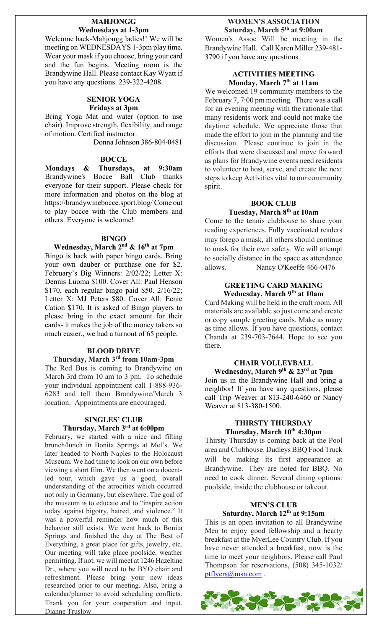### **MAHJONGG Wednesdays at 1-3pm**

Welcome back-Mahjongg ladies!! We will be meeting on WEDNESDAYS 1-3pm play time. Wear your mask if you choose, bring your card and the fun begins. Meeting room is the Brandywine Hall. Please contact Kay Wyatt if you have any questions. 239-322-4208.

## **SENIOR YOGA Fridays at 3pm**

Bring Yoga Mat and water (option to use chair). Improve strength, flexibility, and range of motion. Certified instructor.

Donna Johnson 386-804-0481

## **BOCCE**

**Mondays & Thursdays, at 9:30am** Brandywine's Bocce Ball Club thanks everyone for their support. Please check for more information and photos on the blog at https://brandywinebocce.sport.blog/ Come out to play bocce with the Club members and others. Everyone is welcome!

## **BINGO**

## **Wednesday, March 2nd & 16th at 7pm**

Bingo is back with paper bingo cards. Bring your own dauber or purchase one for \$2. February's Big Winners: 2/02/22; Letter X: Dennis Luoma \$100. Cover All: Paul Henson \$170, each regular bingo paid \$50. 2/16/22; Letter X: MJ Peters \$80. Cover All: Eenie Cation \$170. It is asked of Bingo players to please bring in the exact amount for their cards- it makes the job of the money takers so much easier., we had a turnout of 65 people.

#### **BLOOD DRIVE**

### **Thursday, March 3rd from 10am-3pm**

The Red Bus is coming to Brandywine on March 3rd from 10 am to 3 pm. To schedule your individual appointment call 1-888-936- 6283 and tell them Brandywine/March 3 location. Appointments are encouraged.

## **SINGLES' CLUB Thursday, March 3rd at 6:00pm**

February, we started with a nice and filling brunch/lunch in Bonita Springs at Mel's. We later headed to North Naples to the Holocaust Museum. We had time to look on our own before viewing a short film. We then went on a docentled tour, which gave us a good, overall understanding of the atrocities which occurred not only in Germany, but elsewhere. The goal of the museum is to educate and to "inspire action today against bigotry, hatred, and violence." It was a powerful reminder how much of this behavior still exists. We went back to Bonita Springs and finished the day at The Best of Everything, a great place for gifts, jewelry, etc. Our meeting will take place poolside, weather permitting. If not, we will meet at 1246 Hazeltine Dr., where you will need to be BYO chair and refreshment. Please bring your new ideas researched prior to our meeting. Also, bring a calendar/planner to avoid scheduling conflicts. Thank you for your cooperation and input. Dianne Truslow

## **WOMEN'S ASSOCIATION Saturday, March 5th at 9:00am**

Women's Assoc Will be meeting in the Brandywine Hall. Call Karen Miller 239-481- 3790 if you have any questions.

### **ACTIVITIES MEETING Monday, March 7th at 11am**

We welcomed 19 community members to the February 7, 7:00 pm meeting. There was a call for an evening meeting with the rationale that many residents work and could not make the daytime schedule. We appreciate those that made the effort to join in the planning and the discussion. Please continue to join in the efforts that were discussed and move forward as plans for Brandywine events need residents to volunteer to host, serve, and create the next steps to keep Activities vital to our community spirit.

## **BOOK CLUB Tuesday, March 8th at 10am**

Come to the tennis clubhouse to share your reading experiences. Fully vaccinated readers may forego a mask, all others should continue to mask for their own safety. We will attempt to socially distance in the space as attendance allows. Nancy O'Keeffe 466-0476

#### **GREETING CARD MAKING Wednesday, March 9th at 10am**

Card Making will be held in the craft room. All materials are available so just come and create or copy sample greeting cards. Make as many as time allows. If you have questions, contact Chanda at 239-703-7644. Hope to see you there.

#### **CHAIR VOLLEYBALL Wednesday, March 9th & 23rd at 7pm**

Join us in the Brandywine Hall and bring a neighbor! If you have any questions, please call Trip Weaver at 813-240-6460 or Nancy Weaver at 813-380-1500.

## **THIRSTY THURSDAY Thursday, March 10th 4:30pm**

Thirsty Thursday is coming back at the Pool area and Clubhouse. Dudleys BBQ Food Truck will be making its first appearance at Brandywine. They are noted for BBQ. No need to cook dinner. Several dining options: poolside, inside the clubhouse or takeout.

## **MEN'S CLUB Saturday, March 12th at 9:15am**

This is an open invitation to all Brandywine Men to enjoy good fellowship and a hearty breakfast at the MyerLee Country Club. If you have never attended a breakfast, now is the time to meet your neighbors. Please call Paul Thompson for reservations, (508) 345-1032/ [ptflyers@msn.com](mailto:ptflyers@msn.com).

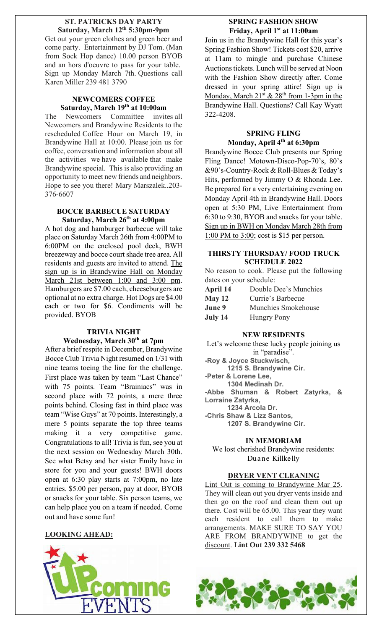### **ST. PATRICKS DAY PARTY Saturday, March 12th 5:30pm-9pm**

Get out your green clothes and green beer and come party. Entertainment by DJ Tom. (Man from Sock Hop dance) 10.00 person BYOB and an hors d'oeuvre to pass for your table. Sign up Monday March 7th. Questions call Karen Miller 239 481 3790

## **NEWCOMERS COFFEE Saturday, March 19th at 10:00am**

The Newcomers Committee invites all Newcomers and Brandywine Residents to the rescheduled Coffee Hour on March 19, in Brandywine Hall at 10:00. Please join us for coffee, conversation and information about all the activities we have available that make Brandywine special. This is also providing an opportunity to meet new friends and neighbors. Hope to see you there! Mary Marszalek..203- 376-6607

## **BOCCE BARBECUE SATURDAY Saturday, March 26th at 4:00pm**

A hot dog and hamburger barbecue will take place on Saturday March 26th from 4:00PM to 6:00PM on the enclosed pool deck, BWH breezeway and bocce court shade tree area. All residents and guests are invited to attend. The sign up is in Brandywine Hall on Monday March 21st between 1:00 and 3:00 pm. Hamburgers are \$7.00 each, cheeseburgers are optional at no extra charge. Hot Dogs are \$4.00 each or two for \$6. Condiments will be provided. BYOB

## **TRIVIA NIGHT Wednesday, March 30th at 7pm**

After a brief respite in December, Brandywine Bocce Club Trivia Night resumed on 1/31 with nine teams toeing the line for the challenge. First place was taken by team "Last Chance" with 75 points. Team "Brainiacs" was in second place with 72 points, a mere three points behind. Closing fast in third place was team "Wise Guys" at 70 points. Interestingly, a mere 5 points separate the top three teams making it a very competitive game. Congratulations to all! Trivia is fun, see you at the next session on Wednesday March 30th. See what Betsy and her sister Emily have in store for you and your guests! BWH doors open at 6:30 play starts at 7:00pm, no late entries. \$5.00 per person, pay at door, BYOB or snacks for your table. Six person teams, we can help place you on a team if needed. Come out and have some fun!

## **LOOKING AHEAD:**



# **SPRING FASHION SHOW Friday, April 1st at 11:00am**

Join us in the Brandywine Hall for this year's Spring Fashion Show! Tickets cost \$20, arrive at 11am to mingle and purchase Chinese Auctions tickets. Lunch will be served at Noon with the Fashion Show directly after. Come dressed in your spring attire! Sign up is Monday, March  $21^{st}$  &  $28^{th}$  from 1-3pm in the Brandywine Hall. Questions? Call Kay Wyatt 322-4208.

## **SPRING FLING Monday, April 4th at 6:30pm**

Brandywine Bocce Club presents our Spring Fling Dance! Motown-Disco-Pop-70's, 80's &90's-Country-Rock & Roll-Blues & Today's Hits, performed by Jimmy O & Rhonda Lee. Be prepared for a very entertaining evening on Monday April 4th in Brandywine Hall. Doors open at 5:30 PM, Live Entertainment from 6:30 to 9:30, BYOB and snacks for your table. Sign up in BWH on Monday March 28th from 1:00 PM to 3:00; cost is \$15 per person.

## **THIRSTY THURSDAY/ FOOD TRUCK SCHEDULE 2022**

No reason to cook. Please put the following dates on your schedule:

| April 14 | Double Dee's Munchies |
|----------|-----------------------|
| May 12   | Currie's Barbecue     |
| June 9   | Munchies Smokehouse   |
| July 14  | <b>Hungry Pony</b>    |

## **NEW RESIDENTS**

Let's welcome these lucky people joining us in "paradise". **-Roy & Joyce Stuckwisch, 1215 S. Brandywine Cir. -Peter & Lorene Lee, 1304 Medinah Dr. -Abbe Shuman & Robert Zatyrka, & Lorraine Zatyrka, 1234 Arcola Dr. -Chris Shaw & Lizz Santos, 1207 S. Brandywine Cir.**

## **IN MEMORIAM**

We lost cherished Brandywine residents: Duane Killkelly

## **DRYER VENT CLEANING**

Lint Out is coming to Brandywine Mar 25. They will clean out you dryer vents inside and then go on the roof and clean them out up there. Cost will be 65.00. This year they want each resident to call them to make arrangements. MAKE SURE TO SAY YOU ARE FROM BRANDYWINE to get the discount. **Lint Out 239 332 5468**